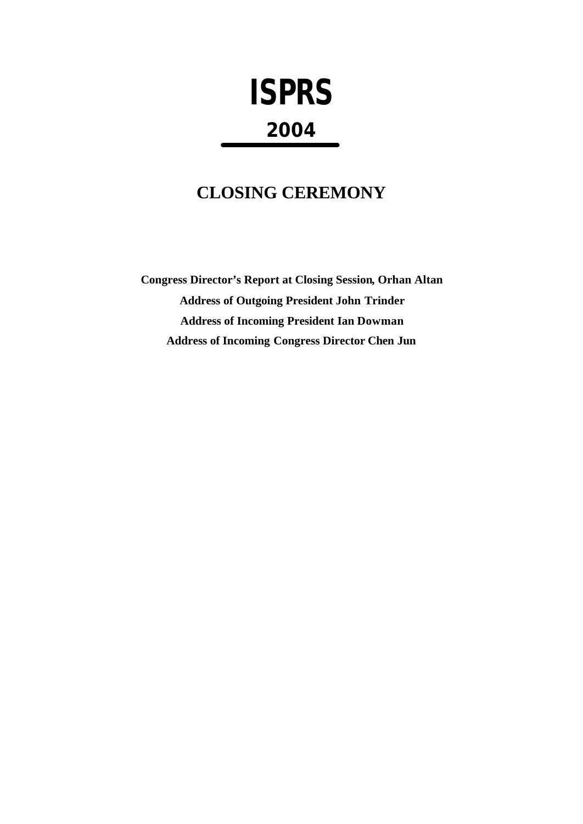# **ISPRS 2004**

# **CLOSING CEREMONY**

**Congress Director's Report at Closing Session, Orhan Altan Address of Outgoing President John Trinder Address of Incoming President Ian Dowman Address of Incoming Congress Director Chen Jun**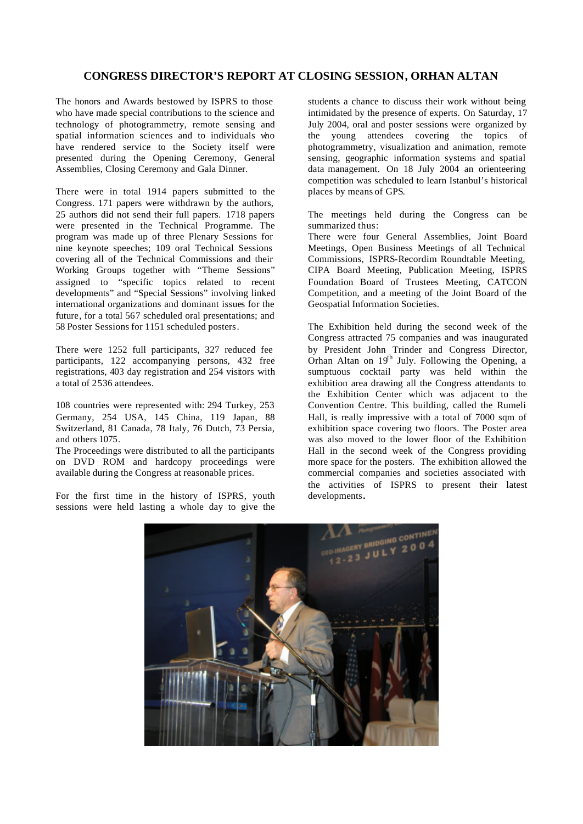# **CONGRESS DIRECTOR'S REPORT AT CLOSING SESSION, ORHAN ALTAN**

The honors and Awards bestowed by ISPRS to those who have made special contributions to the science and technology of photogrammetry, remote sensing and spatial information sciences and to individuals who have rendered service to the Society itself were presented during the Opening Ceremony, General Assemblies, Closing Ceremony and Gala Dinner.

There were in total 1914 papers submitted to the Congress. 171 papers were withdrawn by the authors, 25 authors did not send their full papers. 1718 papers were presented in the Technical Programme. The program was made up of three Plenary Sessions for nine keynote speeches; 109 oral Technical Sessions covering all of the Technical Commissions and their Working Groups together with "Theme Sessions" assigned to "specific topics related to recent developments" and "Special Sessions" involving linked international organizations and dominant issues for the future, for a total 567 scheduled oral presentations; and 58 Poster Sessions for 1151 scheduled posters.

There were 1252 full participants, 327 reduced fee participants, 122 accompanying persons, 432 free registrations, 403 day registration and 254 visitors with a total of 2536 attendees.

108 countries were represented with: 294 Turkey, 253 Germany, 254 USA, 145 China, 119 Japan, 88 Switzerland, 81 Canada, 78 Italy, 76 Dutch, 73 Persia, and others 1075.

The Proceedings were distributed to all the participants on DVD ROM and hardcopy proceedings were available during the Congress at reasonable prices.

For the first time in the history of ISPRS, youth sessions were held lasting a whole day to give the

students a chance to discuss their work without being intimidated by the presence of experts. On Saturday, 17 July 2004, oral and poster sessions were organized by the young attendees covering the topics of photogrammetry, visualization and animation, remote sensing, geographic information systems and spatial data management. On 18 July 2004 an orienteering competition was scheduled to learn Istanbul's historical places by means of GPS.

The meetings held during the Congress can be summarized thus:

There were four General Assemblies, Joint Board Meetings, Open Business Meetings of all Technical Commissions, ISPRS-Recordim Roundtable Meeting, CIPA Board Meeting, Publication Meeting, ISPRS Foundation Board of Trustees Meeting, CATCON Competition, and a meeting of the Joint Board of the Geospatial Information Societies.

The Exhibition held during the second week of the Congress attracted 75 companies and was inaugurated by President John Trinder and Congress Director, Orhan Altan on  $19<sup>th</sup>$  July. Following the Opening, a sumptuous cocktail party was held within the exhibition area drawing all the Congress attendants to the Exhibition Center which was adjacent to the Convention Centre. This building, called the Rumeli Hall, is really impressive with a total of 7000 sqm of exhibition space covering two floors. The Poster area was also moved to the lower floor of the Exhibition Hall in the second week of the Congress providing more space for the posters. The exhibition allowed the commercial companies and societies associated with the activities of ISPRS to present their latest developments**.** 

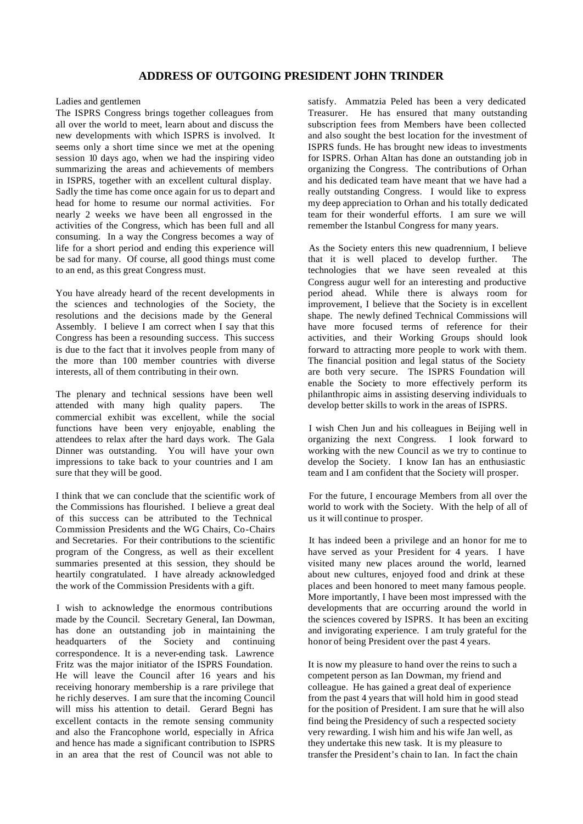# **ADDRESS OF OUTGOING PRESIDENT JOHN TRINDER**

#### Ladies and gentlemen

The ISPRS Congress brings together colleagues from all over the world to meet, learn about and discuss the new developments with which ISPRS is involved. It seems only a short time since we met at the opening session 10 days ago, when we had the inspiring video summarizing the areas and achievements of members in ISPRS, together with an excellent cultural display. Sadly the time has come once again for us to depart and head for home to resume our normal activities. For nearly 2 weeks we have been all engrossed in the activities of the Congress, which has been full and all consuming. In a way the Congress becomes a way of life for a short period and ending this experience will be sad for many. Of course, all good things must come to an end, as this great Congress must.

You have already heard of the recent developments in the sciences and technologies of the Society, the resolutions and the decisions made by the General Assembly. I believe I am correct when I say that this Congress has been a resounding success. This success is due to the fact that it involves people from many of the more than 100 member countries with diverse interests, all of them contributing in their own.

The plenary and technical sessions have been well attended with many high quality papers. The commercial exhibit was excellent, while the social functions have been very enjoyable, enabling the attendees to relax after the hard days work. The Gala Dinner was outstanding. You will have your own impressions to take back to your countries and I am sure that they will be good.

I think that we can conclude that the scientific work of the Commissions has flourished. I believe a great deal of this success can be attributed to the Technical Commission Presidents and the WG Chairs, Co-Chairs and Secretaries. For their contributions to the scientific program of the Congress, as well as their excellent summaries presented at this session, they should be heartily congratulated. I have already acknowledged the work of the Commission Presidents with a gift.

I wish to acknowledge the enormous contributions made by the Council. Secretary General, Ian Dowman, has done an outstanding job in maintaining the headquarters of the Society and continuing correspondence. It is a never-ending task. Lawrence Fritz was the major initiator of the ISPRS Foundation. He will leave the Council after 16 years and his receiving honorary membership is a rare privilege that he richly deserves. I am sure that the incoming Council will miss his attention to detail. Gerard Begni has excellent contacts in the remote sensing community and also the Francophone world, especially in Africa and hence has made a significant contribution to ISPRS in an area that the rest of Council was not able to

satisfy. Ammatzia Peled has been a very dedicated Treasurer. He has ensured that many outstanding subscription fees from Members have been collected and also sought the best location for the investment of ISPRS funds. He has brought new ideas to investments for ISPRS. Orhan Altan has done an outstanding job in organizing the Congress. The contributions of Orhan and his dedicated team have meant that we have had a really outstanding Congress. I would like to express my deep appreciation to Orhan and his totally dedicated team for their wonderful efforts. I am sure we will remember the Istanbul Congress for many years.

As the Society enters this new quadrennium, I believe that it is well placed to develop further. The technologies that we have seen revealed at this Congress augur well for an interesting and productive period ahead. While there is always room for improvement, I believe that the Society is in excellent shape. The newly defined Technical Commissions will have more focused terms of reference for their activities, and their Working Groups should look forward to attracting more people to work with them. The financial position and legal status of the Society are both very secure. The ISPRS Foundation will enable the Society to more effectively perform its philanthropic aims in assisting deserving individuals to develop better skills to work in the areas of ISPRS.

I wish Chen Jun and his colleagues in Beijing well in organizing the next Congress. I look forward to working with the new Council as we try to continue to develop the Society. I know Ian has an enthusiastic team and I am confident that the Society will prosper.

For the future, I encourage Members from all over the world to work with the Society. With the help of all of us it will continue to prosper.

It has indeed been a privilege and an honor for me to have served as your President for 4 years. I have visited many new places around the world, learned about new cultures, enjoyed food and drink at these places and been honored to meet many famous people. More importantly, I have been most impressed with the developments that are occurring around the world in the sciences covered by ISPRS. It has been an exciting and invigorating experience. I am truly grateful for the honor of being President over the past 4 years.

It is now my pleasure to hand over the reins to such a competent person as Ian Dowman, my friend and colleague. He has gained a great deal of experience from the past 4 years that will hold him in good stead for the position of President. I am sure that he will also find being the Presidency of such a respected society very rewarding. I wish him and his wife Jan well, as they undertake this new task. It is my pleasure to transfer the President's chain to Ian. In fact the chain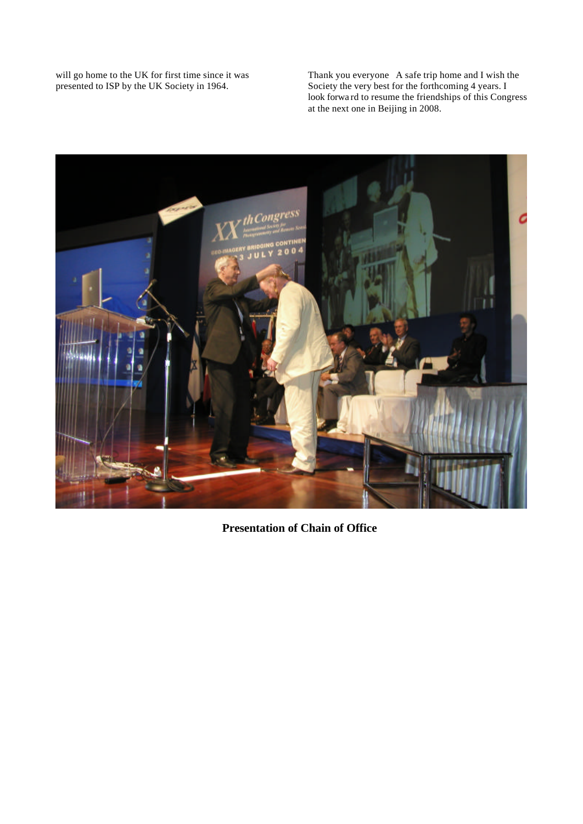will go home to the UK for first time since it was presented to ISP by the UK Society in 1964.

Thank you everyone A safe trip home and I wish the Society the very best for the forthcoming 4 years. I look forwa rd to resume the friendships of this Congress at the next one in Beijing in 2008.



**Presentation of Chain of Office**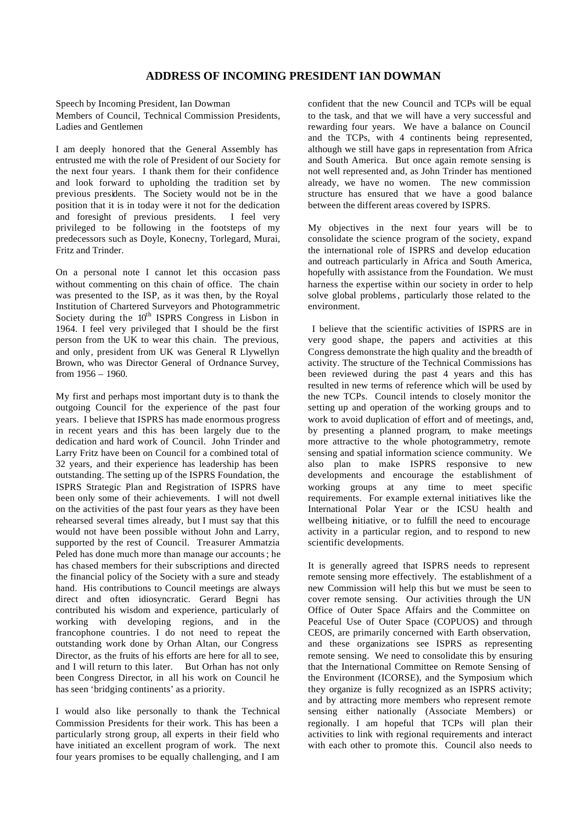### **ADDRESS OF INCOMING PRESIDENT IAN DOWMAN**

Speech by Incoming President, Ian Dowman

Members of Council, Technical Commission Presidents, Ladies and Gentlemen

I am deeply honored that the General Assembly has entrusted me with the role of President of our Society for the next four years. I thank them for their confidence and look forward to upholding the tradition set by previous presidents. The Society would not be in the position that it is in today were it not for the dedication and foresight of previous presidents. I feel very privileged to be following in the footsteps of my predecessors such as Doyle, Konecny, Torlegard, Murai, Fritz and Trinder.

On a personal note I cannot let this occasion pass without commenting on this chain of office. The chain was presented to the ISP, as it was then, by the Royal Institution of Chartered Surveyors and Photogrammetric Society during the  $10<sup>th</sup>$  ISPRS Congress in Lisbon in 1964. I feel very privileged that I should be the first person from the UK to wear this chain. The previous, and only, president from UK was General R Llywellyn Brown, who was Director General of Ordnance Survey, from 1956 – 1960.

My first and perhaps most important duty is to thank the outgoing Council for the experience of the past four years. I believe that ISPRS has made enormous progress in recent years and this has been largely due to the dedication and hard work of Council. John Trinder and Larry Fritz have been on Council for a combined total of 32 years, and their experience has leadership has been outstanding. The setting up of the ISPRS Foundation, the ISPRS Strategic Plan and Registration of ISPRS have been only some of their achievements. I will not dwell on the activities of the past four years as they have been rehearsed several times already, but I must say that this would not have been possible without John and Larry, supported by the rest of Council. Treasurer Ammatzia Peled has done much more than manage our accounts; he has chased members for their subscriptions and directed the financial policy of the Society with a sure and steady hand. His contributions to Council meetings are always direct and often idiosyncratic. Gerard Begni has contributed his wisdom and experience, particularly of working with developing regions, and in the francophone countries. I do not need to repeat the outstanding work done by Orhan Altan, our Congress Director, as the fruits of his efforts are here for all to see, and I will return to this later. But Orhan has not only been Congress Director, in all his work on Council he has seen 'bridging continents' as a priority.

I would also like personally to thank the Technical Commission Presidents for their work. This has been a particularly strong group, all experts in their field who have initiated an excellent program of work. The next four years promises to be equally challenging, and I am confident that the new Council and TCPs will be equal to the task, and that we will have a very successful and rewarding four years. We have a balance on Council and the TCPs, with 4 continents being represented, although we still have gaps in representation from Africa and South America. But once again remote sensing is not well represented and, as John Trinder has mentioned already, we have no women. The new commission structure has ensured that we have a good balance between the different areas covered by ISPRS.

My objectives in the next four years will be to consolidate the science program of the society, expand the international role of ISPRS and develop education and outreach particularly in Africa and South America, hopefully with assistance from the Foundation. We must harness the expertise within our society in order to help solve global problems, particularly those related to the environment.

 I believe that the scientific activities of ISPRS are in very good shape, the papers and activities at this Congress demonstrate the high quality and the breadth of activity. The structure of the Technical Commissions has been reviewed during the past 4 years and this has resulted in new terms of reference which will be used by the new TCPs. Council intends to closely monitor the setting up and operation of the working groups and to work to avoid duplication of effort and of meetings, and, by presenting a planned program, to make meetings more attractive to the whole photogrammetry, remote sensing and spatial information science community. We also plan to make ISPRS responsive to new developments and encourage the establishment of working groups at any time to meet specific requirements. For example external initiatives like the International Polar Year or the ICSU health and wellbeing initiative, or to fulfill the need to encourage activity in a particular region, and to respond to new scientific developments.

It is generally agreed that ISPRS needs to represent remote sensing more effectively. The establishment of a new Commission will help this but we must be seen to cover remote sensing. Our activities through the UN Office of Outer Space Affairs and the Committee on Peaceful Use of Outer Space (COPUOS) and through CEOS, are primarily concerned with Earth observation, and these organizations see ISPRS as representing remote sensing. We need to consolidate this by ensuring that the International Committee on Remote Sensing of the Environment (ICORSE), and the Symposium which they organize is fully recognized as an ISPRS activity; and by attracting more members who represent remote sensing either nationally (Associate Members) or regionally. I am hopeful that TCPs will plan their activities to link with regional requirements and interact with each other to promote this. Council also needs to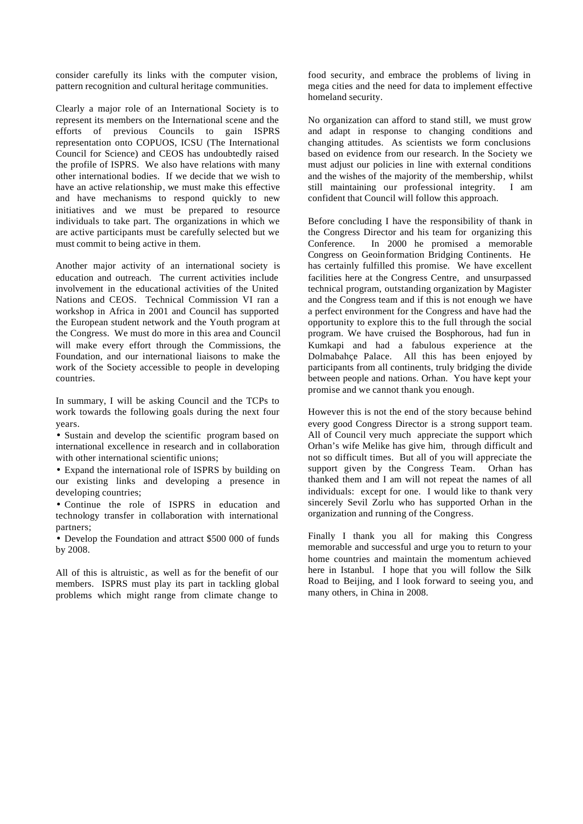consider carefully its links with the computer vision, pattern recognition and cultural heritage communities.

Clearly a major role of an International Society is to represent its members on the International scene and the efforts of previous Councils to gain ISPRS representation onto COPUOS, ICSU (The International Council for Science) and CEOS has undoubtedly raised the profile of ISPRS. We also have relations with many other international bodies. If we decide that we wish to have an active relationship, we must make this effective and have mechanisms to respond quickly to new initiatives and we must be prepared to resource individuals to take part. The organizations in which we are active participants must be carefully selected but we must commit to being active in them.

Another major activity of an international society is education and outreach. The current activities include involvement in the educational activities of the United Nations and CEOS. Technical Commission VI ran a workshop in Africa in 2001 and Council has supported the European student network and the Youth program at the Congress. We must do more in this area and Council will make every effort through the Commissions, the Foundation, and our international liaisons to make the work of the Society accessible to people in developing countries.

In summary, I will be asking Council and the TCPs to work towards the following goals during the next four years.

• Sustain and develop the scientific program based on international excellence in research and in collaboration with other international scientific unions;

• Expand the international role of ISPRS by building on our existing links and developing a presence in developing countries;

• Continue the role of ISPRS in education and technology transfer in collaboration with international partners;

• Develop the Foundation and attract \$500 000 of funds by 2008.

All of this is altruistic, as well as for the benefit of our members. ISPRS must play its part in tackling global problems which might range from climate change to

food security, and embrace the problems of living in mega cities and the need for data to implement effective homeland security.

No organization can afford to stand still, we must grow and adapt in response to changing conditions and changing attitudes. As scientists we form conclusions based on evidence from our research. In the Society we must adjust our policies in line with external conditions and the wishes of the majority of the membership, whilst still maintaining our professional integrity. I am confident that Council will follow this approach.

Before concluding I have the responsibility of thank in the Congress Director and his team for organizing this Conference. In 2000 he promised a memorable Congress on Geoinformation Bridging Continents. He has certainly fulfilled this promise. We have excellent facilities here at the Congress Centre, and unsurpassed technical program, outstanding organization by Magister and the Congress team and if this is not enough we have a perfect environment for the Congress and have had the opportunity to explore this to the full through the social program. We have cruised the Bosphorous, had fun in Kumkapi and had a fabulous experience at the Dolmabahçe Palace. All this has been enjoyed by participants from all continents, truly bridging the divide between people and nations. Orhan. You have kept your promise and we cannot thank you enough.

However this is not the end of the story because behind every good Congress Director is a strong support team. All of Council very much appreciate the support which Orhan's wife Melike has give him, through difficult and not so difficult times. But all of you will appreciate the support given by the Congress Team. Orhan has thanked them and I am will not repeat the names of all individuals: except for one. I would like to thank very sincerely Sevil Zorlu who has supported Orhan in the organization and running of the Congress.

Finally I thank you all for making this Congress memorable and successful and urge you to return to your home countries and maintain the momentum achieved here in Istanbul. I hope that you will follow the Silk Road to Beijing, and I look forward to seeing you, and many others, in China in 2008.